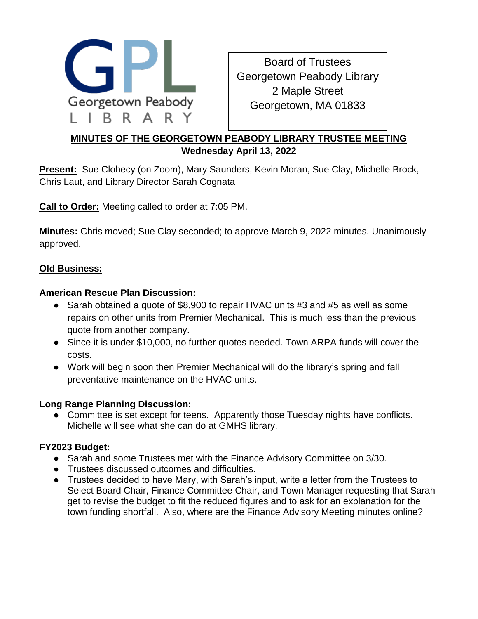

Board of Trustees Georgetown Peabody Library 2 Maple Street Georgetown, MA 01833

# **MINUTES OF THE GEORGETOWN PEABODY LIBRARY TRUSTEE MEETING Wednesday April 13, 2022**

**Present:** Sue Clohecy (on Zoom), Mary Saunders, Kevin Moran, Sue Clay, Michelle Brock, Chris Laut, and Library Director Sarah Cognata

**Call to Order:** Meeting called to order at 7:05 PM.

**Minutes:** Chris moved; Sue Clay seconded; to approve March 9, 2022 minutes. Unanimously approved.

## **Old Business:**

#### **American Rescue Plan Discussion:**

- Sarah obtained a quote of \$8,900 to repair HVAC units #3 and #5 as well as some repairs on other units from Premier Mechanical. This is much less than the previous quote from another company.
- Since it is under \$10,000, no further quotes needed. Town ARPA funds will cover the costs.
- Work will begin soon then Premier Mechanical will do the library's spring and fall preventative maintenance on the HVAC units.

#### **Long Range Planning Discussion:**

• Committee is set except for teens. Apparently those Tuesday nights have conflicts. Michelle will see what she can do at GMHS library.

#### **FY2023 Budget:**

- Sarah and some Trustees met with the Finance Advisory Committee on 3/30.
- Trustees discussed outcomes and difficulties.
- Trustees decided to have Mary, with Sarah's input, write a letter from the Trustees to Select Board Chair, Finance Committee Chair, and Town Manager requesting that Sarah get to revise the budget to fit the reduced figures and to ask for an explanation for the town funding shortfall. Also, where are the Finance Advisory Meeting minutes online?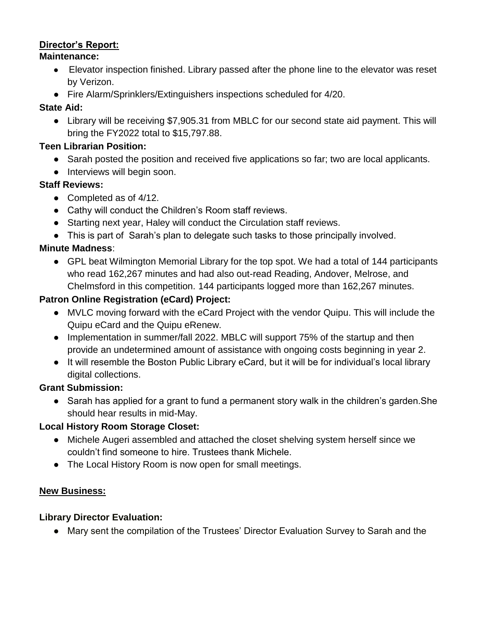## **Director's Report:**

#### **Maintenance:**

- Elevator inspection finished. Library passed after the phone line to the elevator was reset by Verizon.
- Fire Alarm/Sprinklers/Extinguishers inspections scheduled for 4/20.

## **State Aid:**

● Library will be receiving \$7,905.31 from MBLC for our second state aid payment. This will bring the FY2022 total to \$15,797.88.

## **Teen Librarian Position:**

- Sarah posted the position and received five applications so far; two are local applicants.
- Interviews will begin soon.

## **Staff Reviews:**

- Completed as of 4/12.
- Cathy will conduct the Children's Room staff reviews.
- Starting next year, Haley will conduct the Circulation staff reviews.
- This is part of Sarah's plan to delegate such tasks to those principally involved.

## **Minute Madness**:

● GPL beat Wilmington Memorial Library for the top spot. We had a total of 144 participants who read 162,267 minutes and had also out-read Reading, Andover, Melrose, and Chelmsford in this competition. 144 participants logged more than 162,267 minutes.

## **Patron Online Registration (eCard) Project:**

- MVLC moving forward with the eCard Project with the vendor Quipu. This will include the Quipu eCard and the Quipu eRenew.
- Implementation in summer/fall 2022. MBLC will support 75% of the startup and then provide an undetermined amount of assistance with ongoing costs beginning in year 2.
- It will resemble the Boston Public Library eCard, but it will be for individual's local library digital collections.

#### **Grant Submission:**

● Sarah has applied for a grant to fund a permanent story walk in the children's garden. She should hear results in mid-May.

#### **Local History Room Storage Closet:**

- Michele Augeri assembled and attached the closet shelving system herself since we couldn't find someone to hire. Trustees thank Michele.
- The Local History Room is now open for small meetings.

#### **New Business:**

#### **Library Director Evaluation:**

● Mary sent the compilation of the Trustees' Director Evaluation Survey to Sarah and the